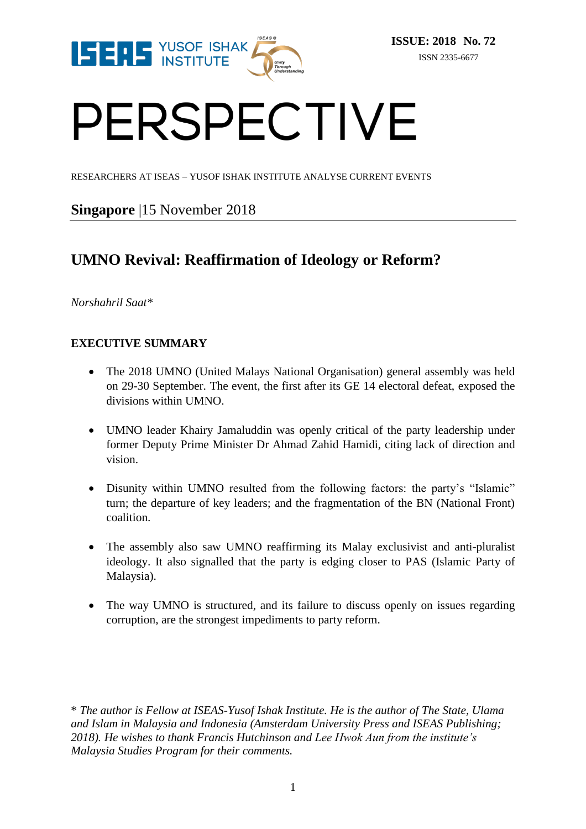

# PERSPECTIVE

RESEARCHERS AT ISEAS – YUSOF ISHAK INSTITUTE ANALYSE CURRENT EVENTS

### **Singapore** |15 November 2018

## **UMNO Revival: Reaffirmation of Ideology or Reform?**

*Norshahril Saat\**

#### **EXECUTIVE SUMMARY**

- The 2018 UMNO (United Malays National Organisation) general assembly was held on 29-30 September. The event, the first after its GE 14 electoral defeat, exposed the divisions within UMNO.
- UMNO leader Khairy Jamaluddin was openly critical of the party leadership under former Deputy Prime Minister Dr Ahmad Zahid Hamidi, citing lack of direction and vision.
- Disunity within UMNO resulted from the following factors: the party's "Islamic" turn; the departure of key leaders; and the fragmentation of the BN (National Front) coalition.
- The assembly also saw UMNO reaffirming its Malay exclusivist and anti-pluralist ideology. It also signalled that the party is edging closer to PAS (Islamic Party of Malaysia).
- The way UMNO is structured, and its failure to discuss openly on issues regarding corruption, are the strongest impediments to party reform.

\* *The author is Fellow at ISEAS-Yusof Ishak Institute. He is the author of The State, Ulama and Islam in Malaysia and Indonesia (Amsterdam University Press and ISEAS Publishing; 2018). He wishes to thank Francis Hutchinson and Lee Hwok Aun from the institute's Malaysia Studies Program for their comments.*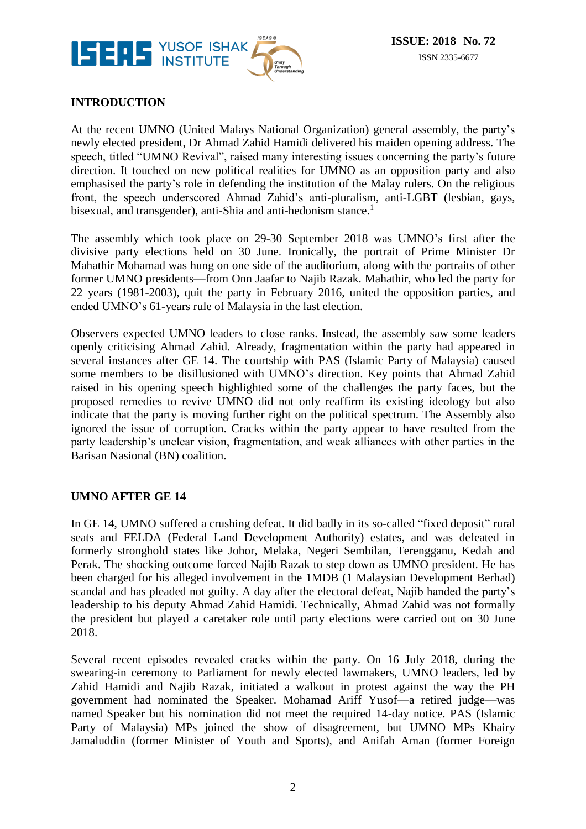

#### **INTRODUCTION**

At the recent UMNO (United Malays National Organization) general assembly, the party's newly elected president, Dr Ahmad Zahid Hamidi delivered his maiden opening address. The speech, titled "UMNO Revival", raised many interesting issues concerning the party's future direction. It touched on new political realities for UMNO as an opposition party and also emphasised the party's role in defending the institution of the Malay rulers. On the religious front, the speech underscored Ahmad Zahid's anti-pluralism, anti-LGBT (lesbian, gays, bisexual, and transgender), anti-Shia and anti-hedonism stance.<sup>1</sup>

The assembly which took place on 29-30 September 2018 was UMNO's first after the divisive party elections held on 30 June. Ironically, the portrait of Prime Minister Dr Mahathir Mohamad was hung on one side of the auditorium, along with the portraits of other former UMNO presidents—from Onn Jaafar to Najib Razak. Mahathir, who led the party for 22 years (1981-2003), quit the party in February 2016, united the opposition parties, and ended UMNO's 61-years rule of Malaysia in the last election.

Observers expected UMNO leaders to close ranks. Instead, the assembly saw some leaders openly criticising Ahmad Zahid. Already, fragmentation within the party had appeared in several instances after GE 14. The courtship with PAS (Islamic Party of Malaysia) caused some members to be disillusioned with UMNO's direction. Key points that Ahmad Zahid raised in his opening speech highlighted some of the challenges the party faces, but the proposed remedies to revive UMNO did not only reaffirm its existing ideology but also indicate that the party is moving further right on the political spectrum. The Assembly also ignored the issue of corruption. Cracks within the party appear to have resulted from the party leadership's unclear vision, fragmentation, and weak alliances with other parties in the Barisan Nasional (BN) coalition.

#### **UMNO AFTER GE 14**

In GE 14, UMNO suffered a crushing defeat. It did badly in its so-called "fixed deposit" rural seats and FELDA (Federal Land Development Authority) estates, and was defeated in formerly stronghold states like Johor, Melaka, Negeri Sembilan, Terengganu, Kedah and Perak. The shocking outcome forced Najib Razak to step down as UMNO president. He has been charged for his alleged involvement in the 1MDB (1 Malaysian Development Berhad) scandal and has pleaded not guilty. A day after the electoral defeat, Najib handed the party's leadership to his deputy Ahmad Zahid Hamidi. Technically, Ahmad Zahid was not formally the president but played a caretaker role until party elections were carried out on 30 June 2018.

Several recent episodes revealed cracks within the party. On 16 July 2018, during the swearing-in ceremony to Parliament for newly elected lawmakers, UMNO leaders, led by Zahid Hamidi and Najib Razak, initiated a walkout in protest against the way the PH government had nominated the Speaker. Mohamad Ariff Yusof—a retired judge—was named Speaker but his nomination did not meet the required 14-day notice. PAS (Islamic Party of Malaysia) MPs joined the show of disagreement, but UMNO MPs Khairy Jamaluddin (former Minister of Youth and Sports), and Anifah Aman (former Foreign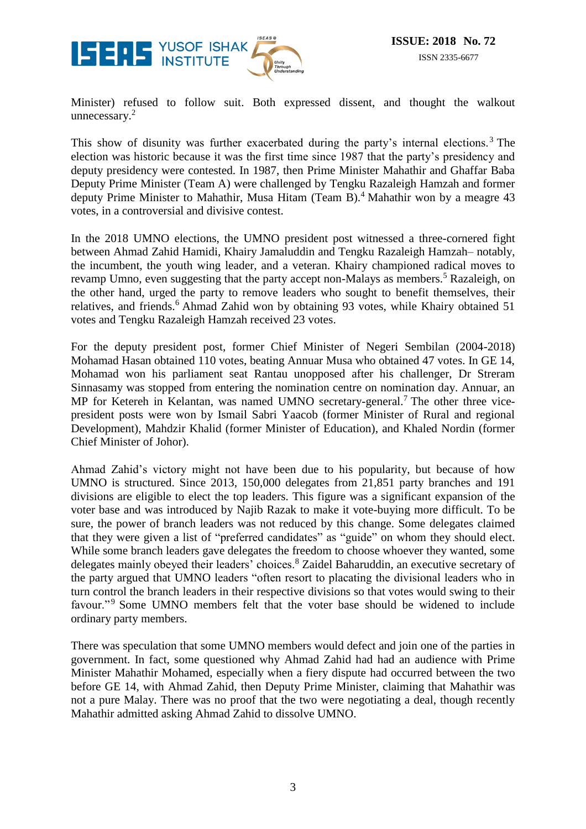

Minister) refused to follow suit. Both expressed dissent, and thought the walkout unnecessary.<sup>2</sup>

This show of disunity was further exacerbated during the party's internal elections.<sup>3</sup> The election was historic because it was the first time since 1987 that the party's presidency and deputy presidency were contested. In 1987, then Prime Minister Mahathir and Ghaffar Baba Deputy Prime Minister (Team A) were challenged by Tengku Razaleigh Hamzah and former deputy Prime Minister to Mahathir, Musa Hitam (Team B). <sup>4</sup> Mahathir won by a meagre 43 votes, in a controversial and divisive contest.

In the 2018 UMNO elections, the UMNO president post witnessed a three-cornered fight between Ahmad Zahid Hamidi, Khairy Jamaluddin and Tengku Razaleigh Hamzah– notably, the incumbent, the youth wing leader, and a veteran. Khairy championed radical moves to revamp Umno, even suggesting that the party accept non-Malays as members.<sup>5</sup> Razaleigh, on the other hand, urged the party to remove leaders who sought to benefit themselves, their relatives, and friends.<sup>6</sup> Ahmad Zahid won by obtaining 93 votes, while Khairy obtained 51 votes and Tengku Razaleigh Hamzah received 23 votes.

For the deputy president post, former Chief Minister of Negeri Sembilan (2004-2018) Mohamad Hasan obtained 110 votes, beating Annuar Musa who obtained 47 votes. In GE 14, Mohamad won his parliament seat Rantau unopposed after his challenger, Dr Streram Sinnasamy was stopped from entering the nomination centre on nomination day. Annuar, an MP for Ketereh in Kelantan, was named UMNO secretary-general.<sup>7</sup> The other three vicepresident posts were won by Ismail Sabri Yaacob (former Minister of Rural and regional Development), Mahdzir Khalid (former Minister of Education), and Khaled Nordin (former Chief Minister of Johor).

Ahmad Zahid's victory might not have been due to his popularity, but because of how UMNO is structured. Since 2013, 150,000 delegates from 21,851 party branches and 191 divisions are eligible to elect the top leaders. This figure was a significant expansion of the voter base and was introduced by Najib Razak to make it vote-buying more difficult. To be sure, the power of branch leaders was not reduced by this change. Some delegates claimed that they were given a list of "preferred candidates" as "guide" on whom they should elect. While some branch leaders gave delegates the freedom to choose whoever they wanted, some delegates mainly obeyed their leaders' choices.<sup>8</sup> Zaidel Baharuddin, an executive secretary of the party argued that UMNO leaders "often resort to placating the divisional leaders who in turn control the branch leaders in their respective divisions so that votes would swing to their favour."<sup>9</sup> Some UMNO members felt that the voter base should be widened to include ordinary party members.

There was speculation that some UMNO members would defect and join one of the parties in government. In fact, some questioned why Ahmad Zahid had had an audience with Prime Minister Mahathir Mohamed, especially when a fiery dispute had occurred between the two before GE 14, with Ahmad Zahid, then Deputy Prime Minister, claiming that Mahathir was not a pure Malay. There was no proof that the two were negotiating a deal, though recently Mahathir admitted asking Ahmad Zahid to dissolve UMNO.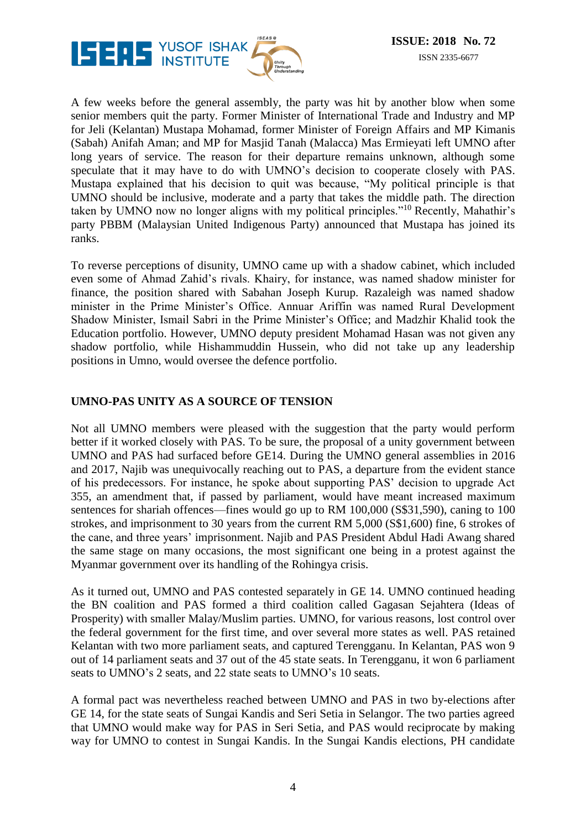

A few weeks before the general assembly, the party was hit by another blow when some senior members quit the party. Former Minister of International Trade and Industry and MP for Jeli (Kelantan) Mustapa Mohamad, former Minister of Foreign Affairs and MP Kimanis (Sabah) Anifah Aman; and MP for Masjid Tanah (Malacca) Mas Ermieyati left UMNO after long years of service. The reason for their departure remains unknown, although some speculate that it may have to do with UMNO's decision to cooperate closely with PAS. Mustapa explained that his decision to quit was because, "My political principle is that UMNO should be inclusive, moderate and a party that takes the middle path. The direction taken by UMNO now no longer aligns with my political principles."<sup>10</sup> Recently, Mahathir's party PBBM (Malaysian United Indigenous Party) announced that Mustapa has joined its ranks.

To reverse perceptions of disunity, UMNO came up with a shadow cabinet, which included even some of Ahmad Zahid's rivals. Khairy, for instance, was named shadow minister for finance, the position shared with Sabahan Joseph Kurup. Razaleigh was named shadow minister in the Prime Minister's Office. Annuar Ariffin was named Rural Development Shadow Minister, Ismail Sabri in the Prime Minister's Office; and Madzhir Khalid took the Education portfolio. However, UMNO deputy president Mohamad Hasan was not given any shadow portfolio, while Hishammuddin Hussein, who did not take up any leadership positions in Umno, would oversee the defence portfolio.

#### **UMNO-PAS UNITY AS A SOURCE OF TENSION**

Not all UMNO members were pleased with the suggestion that the party would perform better if it worked closely with PAS. To be sure, the proposal of a unity government between UMNO and PAS had surfaced before GE14. During the UMNO general assemblies in 2016 and 2017, Najib was unequivocally reaching out to PAS, a departure from the evident stance of his predecessors. For instance, he spoke about supporting PAS' decision to upgrade Act 355, an amendment that, if passed by parliament, would have meant increased maximum sentences for shariah offences—fines would go up to RM 100,000 (S\$31,590), caning to 100 strokes, and imprisonment to 30 years from the current RM 5,000 (S\$1,600) fine, 6 strokes of the cane, and three years' imprisonment. Najib and PAS President Abdul Hadi Awang shared the same stage on many occasions, the most significant one being in a protest against the Myanmar government over its handling of the Rohingya crisis.

As it turned out, UMNO and PAS contested separately in GE 14. UMNO continued heading the BN coalition and PAS formed a third coalition called Gagasan Sejahtera (Ideas of Prosperity) with smaller Malay/Muslim parties. UMNO, for various reasons, lost control over the federal government for the first time, and over several more states as well. PAS retained Kelantan with two more parliament seats, and captured Terengganu. In Kelantan, PAS won 9 out of 14 parliament seats and 37 out of the 45 state seats. In Terengganu, it won 6 parliament seats to UMNO's 2 seats, and 22 state seats to UMNO's 10 seats.

A formal pact was nevertheless reached between UMNO and PAS in two by-elections after GE 14, for the state seats of Sungai Kandis and Seri Setia in Selangor. The two parties agreed that UMNO would make way for PAS in Seri Setia, and PAS would reciprocate by making way for UMNO to contest in Sungai Kandis. In the Sungai Kandis elections, PH candidate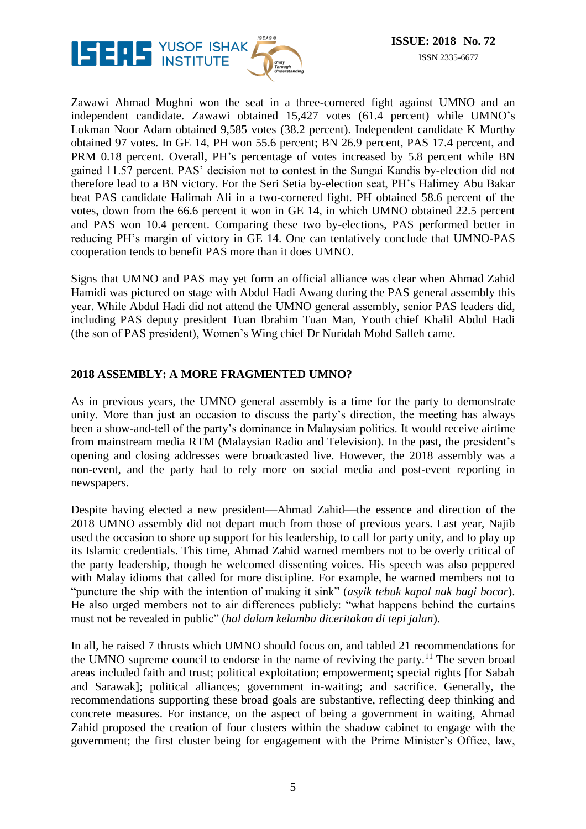

Zawawi Ahmad Mughni won the seat in a three-cornered fight against UMNO and an independent candidate. Zawawi obtained 15,427 votes (61.4 percent) while UMNO's Lokman Noor Adam obtained 9,585 votes (38.2 percent). Independent candidate K Murthy obtained 97 votes. In GE 14, PH won 55.6 percent; BN 26.9 percent, PAS 17.4 percent, and PRM 0.18 percent. Overall, PH's percentage of votes increased by 5.8 percent while BN gained 11.57 percent. PAS' decision not to contest in the Sungai Kandis by-election did not therefore lead to a BN victory. For the Seri Setia by-election seat, PH's Halimey Abu Bakar beat PAS candidate Halimah Ali in a two-cornered fight. PH obtained 58.6 percent of the votes, down from the 66.6 percent it won in GE 14, in which UMNO obtained 22.5 percent and PAS won 10.4 percent. Comparing these two by-elections, PAS performed better in reducing PH's margin of victory in GE 14. One can tentatively conclude that UMNO-PAS cooperation tends to benefit PAS more than it does UMNO.

Signs that UMNO and PAS may yet form an official alliance was clear when Ahmad Zahid Hamidi was pictured on stage with Abdul Hadi Awang during the PAS general assembly this year. While Abdul Hadi did not attend the UMNO general assembly, senior PAS leaders did, including PAS deputy president Tuan Ibrahim Tuan Man, Youth chief Khalil Abdul Hadi (the son of PAS president), Women's Wing chief Dr Nuridah Mohd Salleh came.

#### **2018 ASSEMBLY: A MORE FRAGMENTED UMNO?**

As in previous years, the UMNO general assembly is a time for the party to demonstrate unity. More than just an occasion to discuss the party's direction, the meeting has always been a show-and-tell of the party's dominance in Malaysian politics. It would receive airtime from mainstream media RTM (Malaysian Radio and Television). In the past, the president's opening and closing addresses were broadcasted live. However, the 2018 assembly was a non-event, and the party had to rely more on social media and post-event reporting in newspapers.

Despite having elected a new president—Ahmad Zahid—the essence and direction of the 2018 UMNO assembly did not depart much from those of previous years. Last year, Najib used the occasion to shore up support for his leadership, to call for party unity, and to play up its Islamic credentials. This time, Ahmad Zahid warned members not to be overly critical of the party leadership, though he welcomed dissenting voices. His speech was also peppered with Malay idioms that called for more discipline. For example, he warned members not to "puncture the ship with the intention of making it sink" (*asyik tebuk kapal nak bagi bocor*). He also urged members not to air differences publicly: "what happens behind the curtains must not be revealed in public" (*hal dalam kelambu diceritakan di tepi jalan*).

In all, he raised 7 thrusts which UMNO should focus on, and tabled 21 recommendations for the UMNO supreme council to endorse in the name of reviving the party.<sup>11</sup> The seven broad areas included faith and trust; political exploitation; empowerment; special rights [for Sabah and Sarawak]; political alliances; government in-waiting; and sacrifice. Generally, the recommendations supporting these broad goals are substantive, reflecting deep thinking and concrete measures. For instance, on the aspect of being a government in waiting, Ahmad Zahid proposed the creation of four clusters within the shadow cabinet to engage with the government; the first cluster being for engagement with the Prime Minister's Office, law,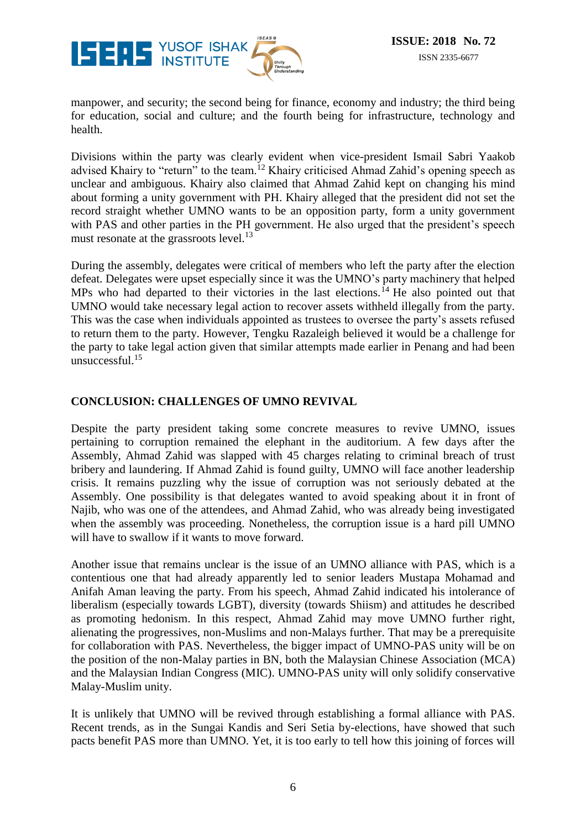

manpower, and security; the second being for finance, economy and industry; the third being for education, social and culture; and the fourth being for infrastructure, technology and health.

Divisions within the party was clearly evident when vice-president Ismail Sabri Yaakob advised Khairy to "return" to the team.<sup>12</sup> Khairy criticised Ahmad Zahid's opening speech as unclear and ambiguous. Khairy also claimed that Ahmad Zahid kept on changing his mind about forming a unity government with PH. Khairy alleged that the president did not set the record straight whether UMNO wants to be an opposition party, form a unity government with PAS and other parties in the PH government. He also urged that the president's speech must resonate at the grassroots level.<sup>13</sup>

During the assembly, delegates were critical of members who left the party after the election defeat. Delegates were upset especially since it was the UMNO's party machinery that helped MPs who had departed to their victories in the last elections.<sup>14</sup> He also pointed out that UMNO would take necessary legal action to recover assets withheld illegally from the party. This was the case when individuals appointed as trustees to oversee the party's assets refused to return them to the party. However, Tengku Razaleigh believed it would be a challenge for the party to take legal action given that similar attempts made earlier in Penang and had been unsuccessful. $15$ 

#### **CONCLUSION: CHALLENGES OF UMNO REVIVAL**

Despite the party president taking some concrete measures to revive UMNO, issues pertaining to corruption remained the elephant in the auditorium. A few days after the Assembly, Ahmad Zahid was slapped with 45 charges relating to criminal breach of trust bribery and laundering. If Ahmad Zahid is found guilty, UMNO will face another leadership crisis. It remains puzzling why the issue of corruption was not seriously debated at the Assembly. One possibility is that delegates wanted to avoid speaking about it in front of Najib, who was one of the attendees, and Ahmad Zahid, who was already being investigated when the assembly was proceeding. Nonetheless, the corruption issue is a hard pill UMNO will have to swallow if it wants to move forward.

Another issue that remains unclear is the issue of an UMNO alliance with PAS, which is a contentious one that had already apparently led to senior leaders Mustapa Mohamad and Anifah Aman leaving the party. From his speech, Ahmad Zahid indicated his intolerance of liberalism (especially towards LGBT), diversity (towards Shiism) and attitudes he described as promoting hedonism. In this respect, Ahmad Zahid may move UMNO further right, alienating the progressives, non-Muslims and non-Malays further. That may be a prerequisite for collaboration with PAS. Nevertheless, the bigger impact of UMNO-PAS unity will be on the position of the non-Malay parties in BN, both the Malaysian Chinese Association (MCA) and the Malaysian Indian Congress (MIC). UMNO-PAS unity will only solidify conservative Malay-Muslim unity.

It is unlikely that UMNO will be revived through establishing a formal alliance with PAS. Recent trends, as in the Sungai Kandis and Seri Setia by-elections, have showed that such pacts benefit PAS more than UMNO. Yet, it is too early to tell how this joining of forces will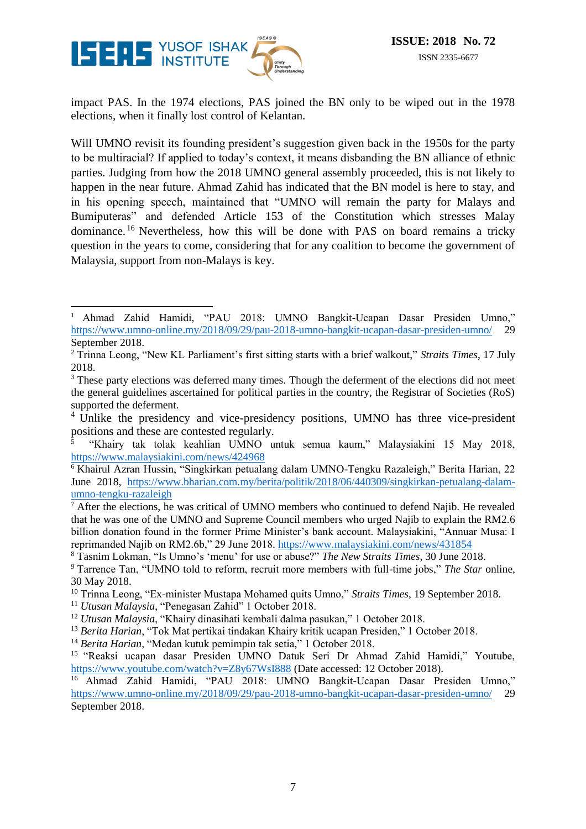

impact PAS. In the 1974 elections, PAS joined the BN only to be wiped out in the 1978 elections, when it finally lost control of Kelantan.

Will UMNO revisit its founding president's suggestion given back in the 1950s for the party to be multiracial? If applied to today's context, it means disbanding the BN alliance of ethnic parties. Judging from how the 2018 UMNO general assembly proceeded, this is not likely to happen in the near future. Ahmad Zahid has indicated that the BN model is here to stay, and in his opening speech, maintained that "UMNO will remain the party for Malays and Bumiputeras" and defended Article 153 of the Constitution which stresses Malay dominance. <sup>16</sup> Nevertheless, how this will be done with PAS on board remains a tricky question in the years to come, considering that for any coalition to become the government of Malaysia, support from non-Malays is key.

 $\,1$ <sup>1</sup> Ahmad Zahid Hamidi, "PAU 2018: UMNO Bangkit-Ucapan Dasar Presiden Umno," <https://www.umno-online.my/2018/09/29/pau-2018-umno-bangkit-ucapan-dasar-presiden-umno/> 29 September 2018.

<sup>2</sup> Trinna Leong, "New KL Parliament's first sitting starts with a brief walkout," *Straits Times*, 17 July 2018.

<sup>&</sup>lt;sup>3</sup> These party elections was deferred many times. Though the deferment of the elections did not meet the general guidelines ascertained for political parties in the country, the Registrar of Societies (RoS) supported the deferment.

<sup>&</sup>lt;sup>4</sup> Unlike the presidency and vice-presidency positions, UMNO has three vice-president positions and these are contested regularly.

<sup>5</sup> "Khairy tak tolak keahlian UMNO untuk semua kaum," Malaysiakini 15 May 2018, <https://www.malaysiakini.com/news/424968>

<sup>6</sup> Khairul Azran Hussin, "Singkirkan petualang dalam UMNO-Tengku Razaleigh," Berita Harian, 22 June 2018, [https://www.bharian.com.my/berita/politik/2018/06/440309/singkirkan-petualang-dalam](https://www.bharian.com.my/berita/politik/2018/06/440309/singkirkan-petualang-dalam-umno-tengku-razaleigh)[umno-tengku-razaleigh](https://www.bharian.com.my/berita/politik/2018/06/440309/singkirkan-petualang-dalam-umno-tengku-razaleigh)

 $<sup>7</sup>$  After the elections, he was critical of UMNO members who continued to defend Najib. He revealed</sup> that he was one of the UMNO and Supreme Council members who urged Najib to explain the RM2.6 billion donation found in the former Prime Minister's bank account. Malaysiakini, "Annuar Musa: I reprimanded Najib on RM2.6b," 29 June 2018.<https://www.malaysiakini.com/news/431854>

<sup>8</sup> Tasnim Lokman, "Is Umno's 'menu' for use or abuse?" *The New Straits Times*, 30 June 2018.

<sup>9</sup> Tarrence Tan, "UMNO told to reform, recruit more members with full-time jobs," *The Star* online, 30 May 2018.

<sup>10</sup> Trinna Leong, "Ex-minister Mustapa Mohamed quits Umno," *Straits Times*, 19 September 2018.

<sup>11</sup> *Utusan Malaysia*, "Penegasan Zahid" 1 October 2018.

<sup>12</sup> *Utusan Malaysia*, "Khairy dinasihati kembali dalma pasukan," 1 October 2018.

<sup>13</sup> *Berita Harian*, "Tok Mat pertikai tindakan Khairy kritik ucapan Presiden," 1 October 2018.

<sup>14</sup> *Berita Harian*, "Medan kutuk pemimpin tak setia," 1 October 2018.

<sup>15</sup> "Reaksi ucapan dasar Presiden UMNO Datuk Seri Dr Ahmad Zahid Hamidi," Youtube, <https://www.youtube.com/watch?v=Z8y67WsI888> (Date accessed: 12 October 2018).

<sup>16</sup> Ahmad Zahid Hamidi, "PAU 2018: UMNO Bangkit-Ucapan Dasar Presiden Umno," <https://www.umno-online.my/2018/09/29/pau-2018-umno-bangkit-ucapan-dasar-presiden-umno/> 29 September 2018.